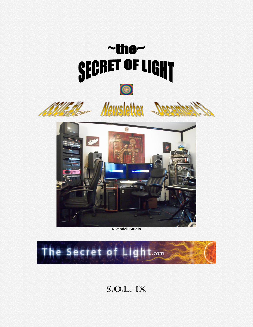

**Rivendell Studio**



S.O.L. IX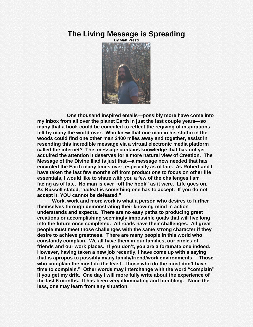### **The Living Message is Spreading**



**One thousand inspired emails—possibly more have come into my inbox from all over the planet Earth in just the last couple years—so many that a book could be compiled to reflect the regiving of inspirations felt by many the world over. Who knew that one man in his studio in the woods could find one other man 2400 miles away and together, assist in resending this incredible message via a virtual electronic media platform called the internet? This message contains knowledge that has not yet acquired the attention it deserves for a more natural view of Creation. The Message of the Divine Iliad is just that—a message now needed that has encircled the Earth many times over, especially as of late. As Robert and I have taken the last few months off from productions to focus on other life essentials, I would like to share with you a few of the challenges I am**  facing as of late. No man is ever "off the hook" as it were. Life goes on. As Russell stated, "defeat is something one has to accept. If you do not **accept it, YOU cannot be defeated.‖**

**Work, work and more work is what a person who desires to further themselves through demonstrating their knowing mind in action understands and expects. There are no easy paths to producing great creations or accomplishing seemingly impossible goals that will live long into the future once completed. All roads have their challenges. All great people must meet those challenges with the same strong character if they desire to achieve greatness. There are many people in this world who constantly complain. We all have them in our families, our circles of friends and our work places. If you don't, you are a fortunate one indeed. However, having taken a new job recently, I have come up with a saying that is apropos to possibly many family/friend/work environments. ―Those who complain the most do the least—those who do the most don't have**  time to complain." Other words may interchange with the word "complain" **if you get my drift. One day I will more fully write about the experience of the last 6 months. It has been very illuminating and humbling. None the less, one may learn from any situation.**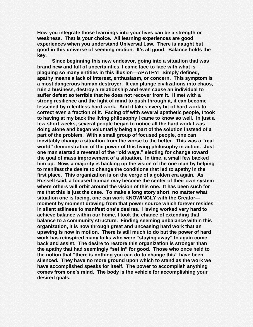**How you integrate those learnings into your lives can be a strength or weakness. That is your choice. All learning experiences are good experiences when you understand Universal Law. There is naught but good in this universe of seeming motion. It's all good. Balance holds the key.** 

**Since beginning this new endeavor, going into a situation that was brand new and full of uncertainties, I came face to face with what is plaguing so many entities in this illusion—APATHY! Simply defined, apathy means a lack of interest, enthusiasm, or concern. This symptom is a most dangerous human destroyer. It can plunge civilizations into chaos, ruin a business, destroy a relationship and even cause an individual to suffer defeat so terrible that he does not recover from it. If met with a strong resilience and the light of mind to push through it, it can become lessened by relentless hard work. And it takes every bit of hard work to correct even a fraction of it. Facing off with several apathetic people, I took to having at my back the living philosophy I came to know so well. In just a few short weeks, several people began to notice all the hard work I was doing alone and began voluntarily being a part of the solution instead of a part of the problem. With a small group of focused people, one can**  inevitably change a situation from the worse to the better. This was a "real **world‖ demonstration of the power of this living philosophy in action. Just**  one man started a reversal of the "old ways," electing for change toward **the goal of mass improvement of a situation. In time, a small few backed him up. Now, a majority is backing up the vision of the one man by helping to manifest the desire to change the conditions that led to apathy in the first place. This organization is on the verge of a golden era again. As Russell said, a focused human may become the center of their own system where others will orbit around the vision of this one. It has been such for me that this is just the case. To make a long story short, no matter what situation one is facing, one can work KNOWINGLY with the Creator moment by moment drawing from that power source which forever resides in silent stillness to manifest one's desires. Having worked very hard to achieve balance within our home, I took the chance of extending that balance to a community structure. Finding seeming unbalance within this organization, it is now through great and unceasing hard work that an upswing is now in motion. There is still much to do but the power of hard**  work has reinspired many folks who were "staying away" to again come **back and assist. The desire to restore this organization is stronger than**  the apathy that had seemingly "set in" for good. Those who once held to the notion that "there is nothing you can do to change this" have been **silenced. They have no more ground upon which to stand as the work we have accomplished speaks for itself. The power to accomplish anything comes from one's mind. The body is the vehicle for accomplishing your desired goals.**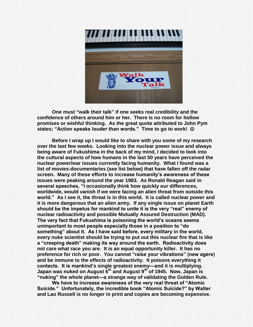

**One must "walk their talk" if one seeks real credibility and the confidence of others around him or her. There is no room for hollow promises or wishful thinking. As the great quote attributed to John Pym**  states; "Action speaks louder than words." Time to go to work! ©

**Before I wrap up I would like to share with you some of my research over the last few weeks. Looking into the nuclear power issue and always being aware of Fukushima in the back of my mind, I decided to look into the cultural aspects of how humans in the last 50 years have perceived the nuclear power/war issues currently facing humanity. What I found was a list of movies-documentaries (see list below) that have fallen off the radar screen. Many of these efforts to increase humanity's awareness of these issues were peaking around the year 1983. As Ronald Reagan said in**  several speeches, "I occasionally think how quickly our differences, **worldwide, would vanish if we were facing an alien threat from outside this world.‖ As I see it, the threat is in this world. It is called nuclear power and it is more dangerous that an alien army. If any single issue on planet Earth**  should be the impetus for mankind to unite it is the very "real" enemy of **nuclear radioactivity and possible Mutually Assured Destruction (MAD). The very fact that Fukushima is poisoning the world's oceans seems unimportant to most people especially those in a position to "do"** something" about it. As I have said before, every military in the world, **every nuke scientist should be trying to put out this nuclear fire that is like a ―creeping death‖ making its way around the earth. Radioactivity does not care what race you are. It is an equal opportunity killer. It has no**  preference for rich or poor. You cannot "raise your vibrations" (new agers) **and be immune to the effects of radioactivity. It poisons everything it contacts. It is mankind's single greatest enemy—and it is multiplying. Japan was nuked on August 6th and August 9th of 1945. Now, Japan is ―nuking‖ the whole planet—a strange way of validating the Golden Rule.** 

We have to increase awareness of the very real threat of "Atomic Suicide." Unfortunately, the incredible book "Atomic Suicide?" by Walter **and Lao Russell is no longer in print and copies are becoming expensive.**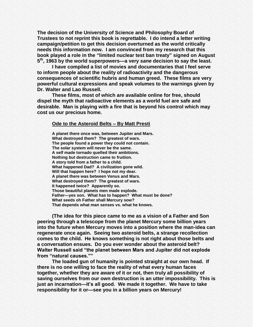**The decision of the University of Science and Philosophy Board of Trustees to not reprint this book is regrettable. I do intend a letter writing campaign/petition to get this decision overturned as the world critically needs this information now. I am convinced from my research that this**  book played a role in the "limited nuclear test ban treaty" signed on August **5 th , 1963 by the world superpowers—a very** *sane* **decision to say the least.**

**I have compiled a list of movies and documentaries that I feel serve to inform people about the reality of radioactivity and the dangerous consequences of scientific hubris and human greed. These films are very powerful cultural expressions and speak volumes to the warnings given by Dr. Walter and Lao Russell.** 

**These films, most of which are available online for free, should dispel the myth that radioactive elements as a world fuel are safe and desirable. Man is playing with a fire that is beyond his control which may cost us our precious home.** 

#### **Ode to the Asteroid Belts – By Matt Presti**

**A planet there once was, between Jupiter and Mars. What destroyed them? The greatest of wars. The people found a power they could not contain. The solar system will never be the same. A self made tornado quelled their ambitions. Nothing but destruction came to fruition. A story told from a father to a child. What happened Dad? A civilization gone wild. Will that happen here? I hope not my dear. A planet there was between Venus and Mars. What destroyed them? The greatest of wars. It happened twice? Apparently so. Those beautiful planets men made explode. Father—yes son. What has to happen? What must be done? What seeds oh Father shall Mercury sow? That depends what man senses vs. what he knows.**

**(The idea for this piece came to me as a vision of a Father and Son peering through a telescope from the planet Mercury some billion years into the future when Mercury moves into a position where the man-idea can regenerate once again. Seeing two asteroid belts, a strange recollection comes to the child. He knows something is not right about those belts and a conversation ensues. Do you ever wonder about the asteroid belt? Walter Russell said "the planet between Mars and Jupiter did not explode** from "natural causes.""

**The loaded gun of humanity is pointed straight at our own head. If there is no one willing to face the reality of what every human faces together, whether they are aware of it or not, then truly all possibility of saving ourselves from our own destruction is an utter impossibility. This is just an incarnation—it's all good. We made it together. We have to take responsibility for it or—see you in a billion years on Mercury!**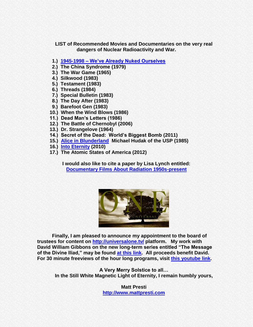**LIST of Recommended Movies and Documentaries on the very real dangers of Nuclear Radioactivity and War.**

- **1.) 1945-1998 – [We've Already Nuked Ourselves](http://www.youtube.com/watch?v=cjAqR1zICA0)**
- **2.) The China Syndrome (1979)**
- **3.) The War Game (1965)**
- **4.) Silkwood (1983)**
- **5.) Testament (1983)**
- **6.) Threads (1984)**
- **7.) Special Bulletin (1983)**
- **8.) The Day After (1983)**
- **9.) Barefoot Gen (1983)**
- **10.) When the Wind Blows (1986)**
- **11.) Dead Man's Letters (1986)**
- **12.) The Battle of Chernobyl (2006)**
- **13.) Dr. Strangelove (1964)**
- **14.) Secret of the Dead: World's Biggest Bomb (2011)**
- **15.) [Alice in Blunderland](http://www.youtube.com/watch?v=mFh8BrfotSo) Michael Hudak of the USP (1985)**
- **16.) [Into Eternity](http://vimeo.com/55736976) (2010)**
- **17.) The Atomic States of America (2012)**

**I would also like to cite a paper by Lisa Lynch entitled: [Documentary Films About](http://www.academia.edu/1748225/Documentary_Films_About_Radiation_1950s-present) Radiation 1950s-present**



**Finally, I am pleased to announce my appointment to the board of trustees for content on<http://universalone.tv/> platform. My work with**  David William Gibbons on the new long-term series entitled "The Message **of the Divine Iliad,‖ may be found [at this link.](http://davidgibbons.org/messageofthedivineiliad.html) All proceeds benefit David. For 30 minute freeviews of the hour long programs, visit [this youtube link.](http://www.youtube.com/watch?v=N-8mNKj9c7Q&feature=share&list=PLwfpexzls6D8KBkQmlk0mrwDfndcUPfGy)** 

**A Very Merry Solstice to all… In the Still White Magnetic Light of Eternity, I remain humbly yours,**

> **Matt Presti [http://www.mattpresti.com](http://www.mattpresti.com/)**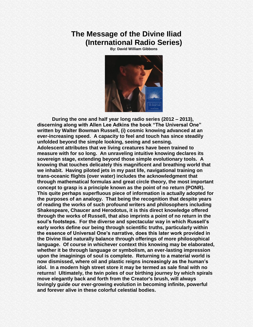# **The Message of the Divine Iliad (International Radio Series)**

**By: David William Gibbons**



**During the one and half year long radio series (2012 – 2013),**  discerning along with Allen Lee Adkins the book "The Universal One" **written by Walter Bowman Russell, (i) cosmic knowing advanced at an ever-increasing speed. A capacity to feel and touch has since steadily unfolded beyond the simple looking, seeing and sensing. Adolescent attributes that we living creatures have been trained to measure with for so long. An unraveling intuitive knowing declares its sovereign stage, extending beyond those simple evolutionary tools. A knowing that touches delicately this magnificent and breathing world that we inhabit. Having piloted jets in my past life, navigational training on trans-oceanic flights (over water) includes the acknowledgment that through mathematical formulas and great circle theory, the most important concept to grasp is a principle known as the point of no return (PONR). This quite perhaps superfluous piece of information is actually adopted for the purposes of an analogy. That being the recognition that despite years of reading the works of such profound writers and philosophers including Shakespeare, Chaucer and Herodotus, it is this direct knowledge offered through the works of Russell, that also imprints a point of no return in the soul's footsteps. For the diverse and spectacular way in which Russell's early works define our being through scientific truths, particularly within the essence of Universal One's narrative, does this later work provided in the Divine Iliad naturally balance through offerings of more philosophical language. Of course in whichever context this knowing may be elaborated, whether it be through language or symbolism, an ever-lasting impression upon the imaginings of soul is complete. Returning to a material world is now dismissed, where oil and plastic reigns increasingly as the human's idol. In a modern high street store it may be termed as sale final with no returns! Ultimately, the twin poles of our birthing journey by which spirals move elegantly back and forth from the Creator's brush, will always lovingly guide our ever-growing evolution in becoming infinite, powerful and forever alive in these colorful celestial bodies.**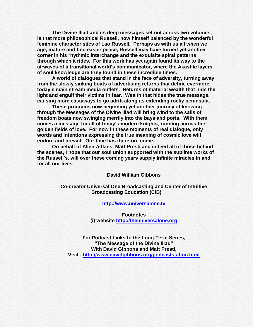**The Divine Iliad and its deep messages set out across two volumes, is that more philosophical Russell, now himself balanced by the wonderful feminine characteristics of Lao Russell. Perhaps as with us all when we age, mature and find easier peace, Russell may have turned yet another corner in his rhythmic interchange and the exquisite spiral patterns through which it rides. For this work has yet again found its way to the airwaves of a transitional world's communicator, where the Akashic layers of soul knowledge are truly found in these incredible times.**

**A world of dialogues that stand in the face of adversity, turning away from the slowly sinking boats of advertising returns that define evermore today's main stream media outlets. Returns of material wealth that hide the light and engulf their victims in fear. Wealth that hides the true message, causing more castaways to go adrift along its extending rocky peninsula.**

**These programs now beginning yet another journey of knowing through the Messages of the Divine Iliad will bring wind to the sails of freedom boats now swinging merrily into the bays and ports. With them comes a message for all of today's modern knights, running across the golden fields of love. For now in these moments of real dialogue, only words and intentions expressing the true meaning of cosmic love will endure and prevail. Our time has therefore come.**

**On behalf of Allen Adkins, Matt Presti and indeed all of those behind the scenes, I hope that our soul union supported with the sublime works of the Russell's, will over these coming years supply infinite miracles in and for all our lives.**

**David William Gibbons**

**Co-creator Universal One Broadcasting and Center of Intuitive Broadcasting Education (CIB)**

**[http://www.universalone.tv](http://www.universalone.tv/)**

**Footnotes (i) website [http://theuniversalone.org](http://theuniversalone.org/)**

**For Podcast Links to the Long-Term Series, ―The Message of the Divine Iliad‖ With David Gibbons and Matt Presti, Visit - <http://www.davidgibbons.org/podcaststation.html>**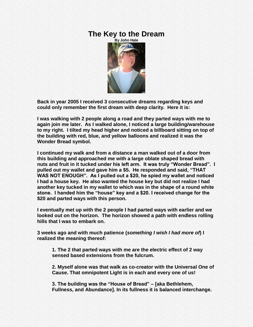# **The Key to the Dream**



**Back in year 2005 I received 3 consecutive dreams regarding keys and could only remember the first dream with deep clarity. Here it is:**

**I was walking with 2 people along a road and they parted ways with me to again join me later. As I walked alone, I noticed a large building/warehouse to my right. I tilted my head higher and noticed a billboard sitting on top of the building with red, blue, and yellow balloons and realized it was the Wonder Bread symbol.**

**I continued my walk and from a distance a man walked out of a door from this building and approached me with a large oblate shaped bread with**  nuts and fruit in it tucked under his left arm. It was truly "Wonder Bread". I pulled out my wallet and gave him a \$5. He responded and said, "THAT WAS NOT ENOUGH". As I pulled out a \$20, he spied my wallet and noticed **I had a house key. He also wanted the house key but did not realize I had another key tucked in my wallet to which was in the shape of a round white**  stone. I handed him the "house" key and a \$20. I received change for the **\$20 and parted ways with this person.**

**I eventually met up with the 2 people I had parted ways with earlier and we looked out on the horizon. The horizon showed a path with endless rolling hills that I was to embark on.**

**3 weeks ago and with much patience (***something I wish I had more of***) I realized the meaning thereof:**

**1. The 2 that parted ways with me are the electric effect of 2 way sensed based extensions from the fulcrum.**

**2. Myself alone was that walk as co-creator with the Universal One of Cause. That omnipotent Light is in each and every one of us!**

**3. The building was the ―House of Bread‖ – [aka Bethlehem, Fullness, and Abundance]. In its fullness it is balanced interchange.**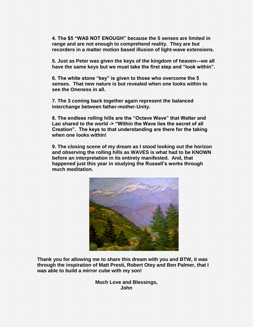**4. The \$5 ―WAS NOT ENOUGH‖ because the 5 senses are limited in range and are not enough to comprehend reality. They are but recorders in a matter motion based illusion of light-wave extensions.**

**5. Just as Peter was given the keys of the kingdom of heaven—we all**  have the same keys but we must take the first step and "look within".

**6. The white stone ―key‖ is given to those who overcome the 5 senses. That new nature is but revealed when one looks within to see the Oneness in all.**

**7. The 3 coming back together again represent the balanced interchange between father-mother-Unity.**

**8. The endless rolling hills are the "Octave Wave" that Walter and** Lao shared to the world -> "Within the Wave lies the secret of all **Creation‖. The keys to that understanding are there for the taking when one looks within!**

**9. The closing scene of my dream as I stood looking out the horizon and observing the rolling hills as WAVES is what had to be KNOWN before an interpretation in its entirety manifested. And, that happened just this year in studying the Russell's works through much meditation.**



**Thank you for allowing me to share this dream with you and BTW, it was through the inspiration of Matt Presti, Robert Otey and Ben Palmer, that I was able to build a mirror cube with my son!**

> **Much Love and Blessings, John**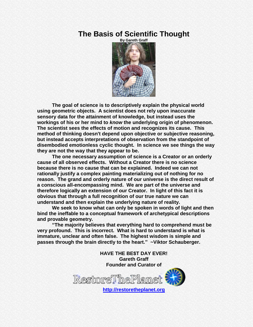# **The Basis of Scientific Thought**



**The goal of science is to descriptively explain the physical world using geometric objects. A scientist does not rely upon inaccurate sensory data for the attainment of knowledge, but instead uses the workings of his or her mind to** *know* **the underlying origin of phenomenon. The scientist sees the effects of motion and recognizes its cause. This method of thinking doesn't depend upon objective or subjective reasoning, but instead accepts interpretations of observation from the standpoint of disembodied emotionless cyclic thought. In science we see things the way they are not the way that they appear to be.**

**The one necessary assumption of science is a Creator or an orderly cause of all observed effects. Without a Creator there is no science because there is no cause that can be explained. Indeed we can not rationally justify a complex painting materializing out of nothing for no reason. The grand and orderly nature of our universe is the direct result of a conscious all-encompassing mind. We are part of the universe and therefore logically an extension of our Creator. In light of this fact it is obvious that through a full recognition of our true nature we can understand and then explain the underlying nature of reality.**

**We seek to know what can only be spoken in words of light and then bind the ineffable to a conceptual framework of archetypical descriptions and provable geometry.**

**―The majority believes that everything hard to comprehend must be very profound. This is incorrect. What is hard to understand is what is immature, unclear and often false. The highest wisdom is simple and passes through the brain directly to the heart.‖ ~Viktor Schauberger.**

> **HAVE THE BE\$T DAY EVER! Gareth Graff Founder and Curator of**

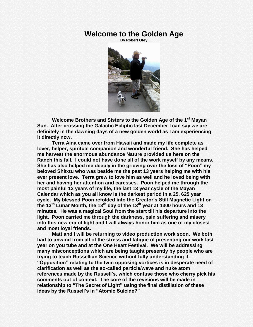### **Welcome to the Golden Age**

**By Robert Otey**



**Welcome Brothers and Sisters to the Golden Age of the 1st Mayan Sun. After crossing the Galactic Ecliptic last December I can say we are definitely in the dawning days of a new golden world as I am experiencing it directly now.**

**Terra Aina came over from Hawaii and made my life complete as lover, helper, spiritual companion and wonderful friend. She has helped me harvest the enormous abundance Nature provided us here on the Ranch this fall. I could not have done all of the work myself by any means.**  She has also helped me deeply in the grieving over the loss of "Poon" my **beloved Shit-zu who was beside me the past 13 years helping me with his ever present love. Terra grew to love him as well and he loved being with her and having her attention and caresses. Poon helped me through the most painful 13 years of my life, the last 13 year cycle of the Mayan Calendar which as you all know is the darkest period in a 25, 625 year cycle. My blessed Poon refolded into the Creator's Still Magnetic Light on the 13th Lunar Month, the 13th day of the 13th year at 1300 hours and 13 minutes. He was a magical Soul from the start till his departure into the light. Poon carried me through the darkness, pain suffering and misery into this new era of light and I will always honor him as one of my closest and most loyal friends.**

**Matt and I will be returning to video production work soon. We both had to unwind from all of the stress and fatigue of presenting our work last year on you tube and at the One Heart Festival. We will be addressing many misconceptions which are being taught presently by people who are trying to teach Russellian Science without fully understanding it. ―Opposition‖ relating to the twin opposing vortices is in desperate need of clarification as well as the so-called particle/wave and nuke atom references made by the Russell's, which confuse those who cherry pick his comments out of context. The core of the revisions will be made in relationship to ―The Secret of Light‖ using the final distillation of these**  ideas by the Russell's in "Atomic Suicide?"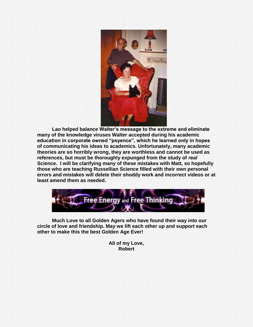

**Lao helped balance Walter's message to the extreme and eliminate many of the knowledge viruses Walter accepted during his academic**  education in corporate owned "psyence", which he learned only in hopes **of communicating his ideas to academics. Unfortunately, many academic theories are so horribly wrong, they are worthless and cannot be used as references, but must be thoroughly expunged from the study of** *real*  **Science. I will be clarifying many of these mistakes with Matt, so hopefully those who are teaching Russellian Science filled with their own personal errors and mistakes will delete their shoddy work and incorrect videos or at least amend them as needed.**



**Much Love to all Golden Agers who have found their way into our circle of love and friendship. May we lift each other up and support each other to make this the best Golden Age Ever!**

> **All of my Love, Robert**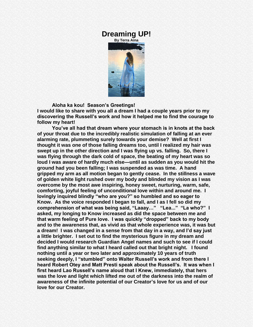### **Dreaming UP!**

**By Terra Aina**



#### **Aloha ka kou! Season's Greetings!**

**I would like to share with you all a dream I had a couple years prior to my discovering the Russell's work and how it helped me to find the courage to follow my heart!** 

**You've all had that dream where your stomach is in knots at the back of your throat due to the incredibly realistic simulation of falling at an ever alarming rate, plummeting surely towards your demise? Well at first I thought it was one of those falling dreams too, until I realized my hair was swept up in the other direction and I was flying up vs. falling. So, there I was flying through the dark cold of space, the beating of my heart was so loud I was aware of hardly much else—until as sudden as you would hit the ground had you been falling; I was suspended as was time. A hand gripped my arm as all motion began to gently cease. In the stillness a wave of golden white light rushed over my body and blinded my vision as I was overcome by the most awe inspiring, honey sweet, nurturing, warm, safe, comforting, joyful feeling of unconditional love within and around me. I**  lovingly inquired blindly "who are you?" so humbled and so eager to **Know. As the voice responded I began to fall, and I as I fell so did my**  comprehension of what was being said, "Laaay..." "Lea..." "La who?" I **asked, my longing to Know increased as did the space between me and**  that warm feeling of Pure love. I was quickly "dropped" back to my body **and to the awareness that, as vivid as that whole experience was, it was but a dream! I was changed in a sense from that day in a way, and I'd say just a little brighter. I set out to find the mysterious figure in my dream and decided I would research Guardian Angel names and such to see if I could find anything similar to what I heard called out that bright night. I found nothing until a year or two later and approximately 10 years of truth**  seeking deeply, I "stumbled" onto Walter Russell's work and from there I **heard Robert Otey and Matt Presti speak about the Russell's. It was when I first heard Lao Russell's name aloud that I Knew, immediately, that hers was the love and light which lifted me out of the darkness into the realm of awareness of the infinite potential of our Creator's love for us and of our love for our Creator.**